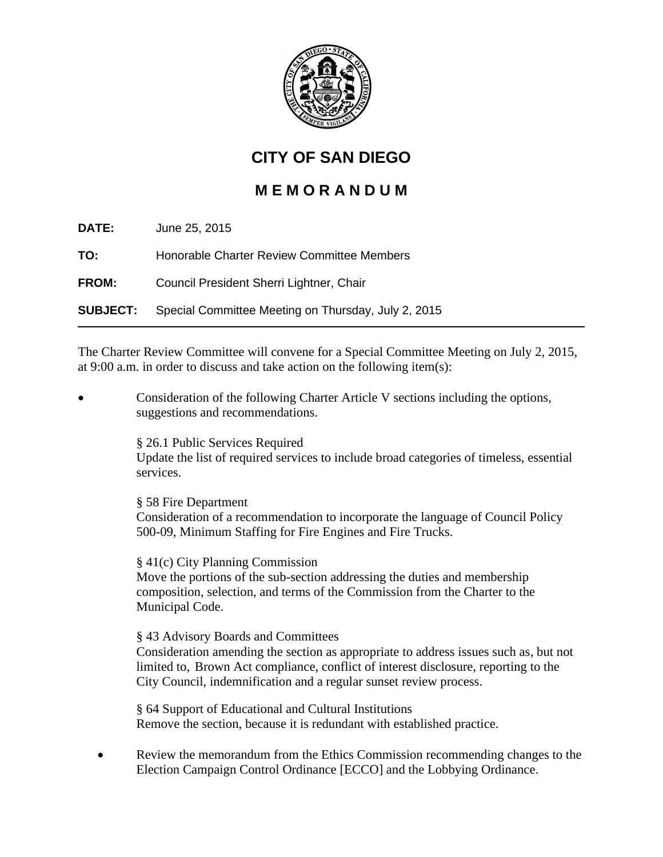

## **CITY OF SAN DIEGO**

## **M E M O R A N D U M**

| DATE:           | June 25, 2015                                       |
|-----------------|-----------------------------------------------------|
| TO:             | Honorable Charter Review Committee Members          |
| <b>FROM:</b>    | Council President Sherri Lightner, Chair            |
| <b>SUBJECT:</b> | Special Committee Meeting on Thursday, July 2, 2015 |

The Charter Review Committee will convene for a Special Committee Meeting on July 2, 2015, at 9:00 a.m. in order to discuss and take action on the following item(s):

• Consideration of the following Charter Article V sections including the options, suggestions and recommendations.

§ 26.1 Public Services Required

Update the list of required services to include broad categories of timeless, essential services.

§ 58 Fire Department

Consideration of a recommendation to incorporate the language of Council Policy 500-09, Minimum Staffing for Fire Engines and Fire Trucks.

§ 41(c) City Planning Commission

Move the portions of the sub-section addressing the duties and membership composition, selection, and terms of the Commission from the Charter to the Municipal Code.

§ 43 Advisory Boards and Committees Consideration amending the section as appropriate to address issues such as, but not limited to, Brown Act compliance, conflict of interest disclosure, reporting to the City Council, indemnification and a regular sunset review process.

§ 64 Support of Educational and Cultural Institutions Remove the section, because it is redundant with established practice.

• Review the memorandum from the Ethics Commission recommending changes to the Election Campaign Control Ordinance [ECCO] and the Lobbying Ordinance.